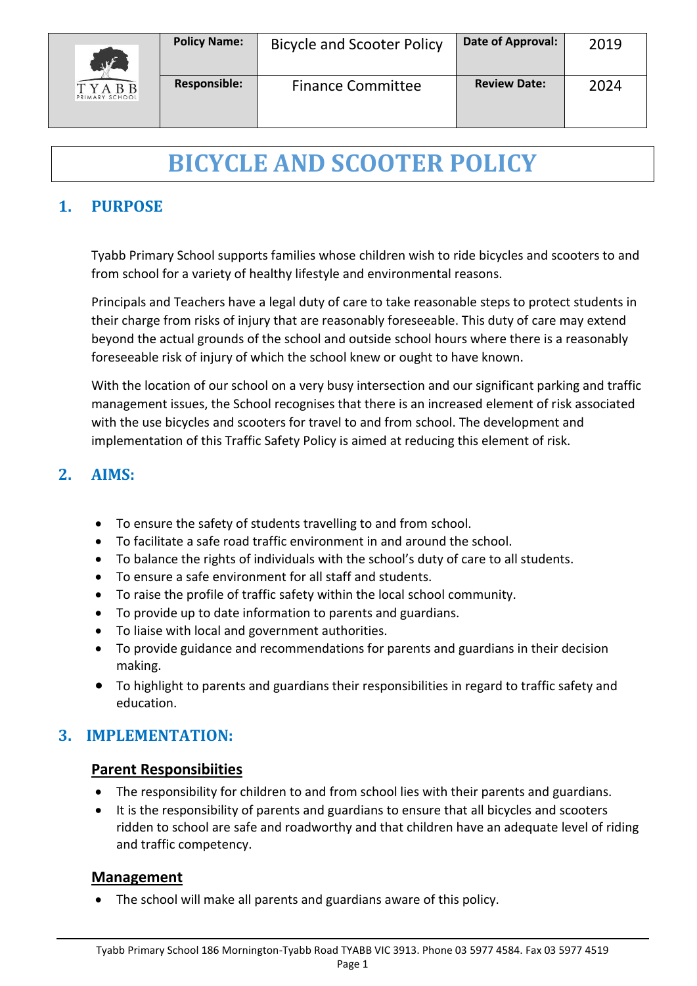

# **BICYCLE AND SCOOTER POLICY**

# **1. PURPOSE**

Tyabb Primary School supports families whose children wish to ride bicycles and scooters to and from school for a variety of healthy lifestyle and environmental reasons.

Principals and Teachers have a legal duty of care to take reasonable steps to protect students in their charge from risks of injury that are reasonably foreseeable. This duty of care may extend beyond the actual grounds of the school and outside school hours where there is a reasonably foreseeable risk of injury of which the school knew or ought to have known.

With the location of our school on a very busy intersection and our significant parking and traffic management issues, the School recognises that there is an increased element of risk associated with the use bicycles and scooters for travel to and from school. The development and implementation of this Traffic Safety Policy is aimed at reducing this element of risk.

# **2. AIMS:**

- To ensure the safety of students travelling to and from school.
- To facilitate a safe road traffic environment in and around the school.
- To balance the rights of individuals with the school's duty of care to all students.
- To ensure a safe environment for all staff and students.
- To raise the profile of traffic safety within the local school community.
- To provide up to date information to parents and guardians.
- To liaise with local and government authorities.
- To provide guidance and recommendations for parents and guardians in their decision making.
- To highlight to parents and guardians their responsibilities in regard to traffic safety and education.

## **3. IMPLEMENTATION:**

#### **Parent Responsibiities**

- The responsibility for children to and from school lies with their parents and guardians.
- It is the responsibility of parents and guardians to ensure that all bicycles and scooters ridden to school are safe and roadworthy and that children have an adequate level of riding and traffic competency.

#### **Management**

• The school will make all parents and guardians aware of this policy.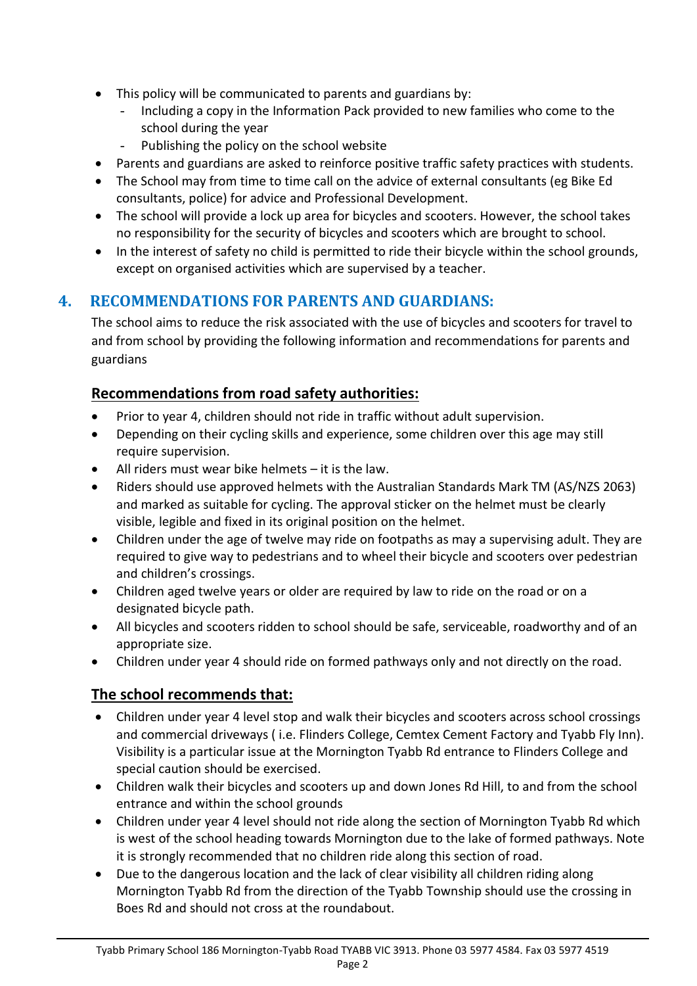- This policy will be communicated to parents and guardians by:
	- Including a copy in the Information Pack provided to new families who come to the school during the year
	- Publishing the policy on the school website
- Parents and guardians are asked to reinforce positive traffic safety practices with students.
- The School may from time to time call on the advice of external consultants (eg Bike Ed consultants, police) for advice and Professional Development.
- The school will provide a lock up area for bicycles and scooters. However, the school takes no responsibility for the security of bicycles and scooters which are brought to school.
- In the interest of safety no child is permitted to ride their bicycle within the school grounds, except on organised activities which are supervised by a teacher.

# **4. RECOMMENDATIONS FOR PARENTS AND GUARDIANS:**

The school aims to reduce the risk associated with the use of bicycles and scooters for travel to and from school by providing the following information and recommendations for parents and guardians

## **Recommendations from road safety authorities:**

- Prior to year 4, children should not ride in traffic without adult supervision.
- Depending on their cycling skills and experience, some children over this age may still require supervision.
- All riders must wear bike helmets  $-$  it is the law.
- Riders should use approved helmets with the Australian Standards Mark TM (AS/NZS 2063) and marked as suitable for cycling. The approval sticker on the helmet must be clearly visible, legible and fixed in its original position on the helmet.
- Children under the age of twelve may ride on footpaths as may a supervising adult. They are required to give way to pedestrians and to wheel their bicycle and scooters over pedestrian and children's crossings.
- Children aged twelve years or older are required by law to ride on the road or on a designated bicycle path.
- All bicycles and scooters ridden to school should be safe, serviceable, roadworthy and of an appropriate size.
- Children under year 4 should ride on formed pathways only and not directly on the road.

## **The school recommends that:**

- Children under year 4 level stop and walk their bicycles and scooters across school crossings and commercial driveways ( i.e. Flinders College, Cemtex Cement Factory and Tyabb Fly Inn). Visibility is a particular issue at the Mornington Tyabb Rd entrance to Flinders College and special caution should be exercised.
- Children walk their bicycles and scooters up and down Jones Rd Hill, to and from the school entrance and within the school grounds
- Children under year 4 level should not ride along the section of Mornington Tyabb Rd which is west of the school heading towards Mornington due to the lake of formed pathways. Note it is strongly recommended that no children ride along this section of road.
- Due to the dangerous location and the lack of clear visibility all children riding along Mornington Tyabb Rd from the direction of the Tyabb Township should use the crossing in Boes Rd and should not cross at the roundabout.